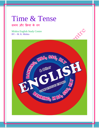## Time & Tense

समय और क्रिया के रुप

Mishra English Study Centre BY – M. K. Mishra

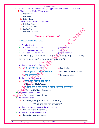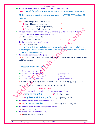|   | Times & Tense                                                                                                                   |                                                                                            |  |  |  |
|---|---------------------------------------------------------------------------------------------------------------------------------|--------------------------------------------------------------------------------------------|--|--|--|
|   | To avoid the repetition of shall or will in a conditional sentence.                                                             |                                                                                            |  |  |  |
|   | Note - ध्यान रहे कि इसके तहत वाक्य के उसी भाग में Present Indefinite Tense लगाते है,                                            |                                                                                            |  |  |  |
|   | जो 'If, when, as soon as, as long as, in case, unless, until etc.' से शुरू होकर condition को                                    |                                                                                            |  |  |  |
|   | दर्शाता हो।                                                                                                                     |                                                                                            |  |  |  |
|   | $Ex.: (i) You will go, when he will comes.$                                                                                     | $-({\bf x})$                                                                               |  |  |  |
|   | → You will go, when he comes.                                                                                                   | $ (\checkmark)$                                                                            |  |  |  |
|   | (ii) If you will dance, I shall give money.                                                                                     | $-({\bf x})$                                                                               |  |  |  |
|   | • If you dance, I shall give money.                                                                                             | $-$ ( $\checkmark$ )                                                                       |  |  |  |
| ❖ | Always, Never, Seldom, Often, Rarely, Occasionally  etc. are used in Present<br>Indefinite Tense for a Present habitual action. |                                                                                            |  |  |  |
|   | Ex.:- He is always coming late.                                                                                                 | $-({\bf x})$                                                                               |  |  |  |
|   | $\supset$ He always comes late.                                                                                                 | $ (\checkmark)$                                                                            |  |  |  |
| ❖ | To show a Series action as a Process.                                                                                           |                                                                                            |  |  |  |
|   | Ex.:- "How to make Tea"                                                                                                         |                                                                                            |  |  |  |
|   | At first we boil some milk in a pot, now we boil some tea-leaves in a little water                                              |                                                                                            |  |  |  |
|   | in another pot, Then we filter the boiled tea leave into the boiled milk, now we serve it                                       |                                                                                            |  |  |  |
|   | in cups with plate full of sugar.                                                                                               |                                                                                            |  |  |  |
| ❖ | To make the commentary of a game.                                                                                               |                                                                                            |  |  |  |
|   |                                                                                                                                 | Ex.:- Akhtar bolls to Sachin, Sachin hit hard the ball, the ball goes out of boundary line |  |  |  |
|   | and it's a four run.                                                                                                            |                                                                                            |  |  |  |
|   |                                                                                                                                 |                                                                                            |  |  |  |
|   | > Present Continuous Tense                                                                                                      |                                                                                            |  |  |  |
|   |                                                                                                                                 |                                                                                            |  |  |  |
|   | $\div$ S + is / am / are + v4 + 0                                                                                               |                                                                                            |  |  |  |
|   | $\cdot$ Is / am / are + S + y4 \ O +2                                                                                           | (Interrogative)                                                                            |  |  |  |
|   | $\div$ S + is / am / are $\pm$ not + v4 + O                                                                                     | (Negative)                                                                                 |  |  |  |
|   | $\div$ Is / am / are + $\pm$ $\pm$ not + v4 + O?                                                                                | (Interro-Negative)                                                                         |  |  |  |
|   | 2 दादाओं के तहत जिस हिन्दी वाक्य के क्रिया के अंत में रहा है, रही है, रहे है  इत्यादि                                           |                                                                                            |  |  |  |
|   | लगा रहे, उसे Present Continuous Tense का वाक्य माना जाता है।                                                                    |                                                                                            |  |  |  |
|   | "Rules & Uses"                                                                                                                  |                                                                                            |  |  |  |
|   | A Present continued action is kept in Present Continuous Tense.                                                                 |                                                                                            |  |  |  |
|   | $\mathbf{E}\mathbf{x}$ $\stackrel{?}{\ldots}$ (i) मोहन का नाच जारी है।                                                          | $\triangleright$ Mohan is dancing.                                                         |  |  |  |
|   | (ii) राजू क्रिकेट खेलने में लगा हुआ है। O Raju is playing cricket.                                                              |                                                                                            |  |  |  |
|   | To show a Present momentary habitual action.                                                                                    |                                                                                            |  |  |  |
|   | Ex.:- (i) आजकल वह शराब पीता है।                                                                                                 | $\bullet$ Now a days he is drinking wine.                                                  |  |  |  |
|   | To show an action that runs during the discussion.                                                                              |                                                                                            |  |  |  |
|   | Ex.:- He is eating now.                                                                                                         |                                                                                            |  |  |  |
| ❖ | To show a 50% certain Future Plan.                                                                                              |                                                                                            |  |  |  |
|   | Ex.:- Papa is coming tomorrow.                                                                                                  |                                                                                            |  |  |  |
|   |                                                                                                                                 |                                                                                            |  |  |  |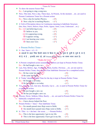| ❖          | Times & Tense<br>To show the nearest Future Plan.                                        |                 |  |  |
|------------|------------------------------------------------------------------------------------------|-----------------|--|--|
|            |                                                                                          |                 |  |  |
|            | $Ex.:$ I am going to sing a song now.                                                    |                 |  |  |
|            | Now, This time, Now a day, These days, At Present, At the moment  etc. are used in       |                 |  |  |
|            | Present Continuous Tense for a Present action.                                           |                 |  |  |
|            | Ex.:- Now a day he teaches Physics.<br>$-(\star)$                                        |                 |  |  |
|            | $\bullet$ Now a day he is teaching Physics. $-(\checkmark)$                              |                 |  |  |
| ❖          | A Verb of Perception shows its Continuous meaning in Indefinite Structure.               |                 |  |  |
|            | (See, Hear, Notice, Believe, Hope, Prefer, Appear, Seem, Loom, Understand etc.)          |                 |  |  |
|            | $Ex.: (i) I$ am believing in you.<br>$-({\bf x})$                                        |                 |  |  |
|            | $-(\checkmark)$<br>$\bigcirc$ I believe in you.                                          | NE              |  |  |
|            | (ii) It is appearing wrong.<br>$-({\bf x})$                                              |                 |  |  |
|            | $\triangleright$ It appears wrong.<br>$-(\checkmark)$                                    |                 |  |  |
|            | (iii) I am hearing your voice.<br>$-({\bf x})$                                           |                 |  |  |
|            | $-$ ( $\checkmark$ )<br>$\bigcirc$ I hear your voce.                                     |                 |  |  |
|            |                                                                                          |                 |  |  |
|            | $\triangleright$ Present Perfect Tense –                                                 |                 |  |  |
|            |                                                                                          |                 |  |  |
| <b>AND</b> | $S + has / have + v3 + O$                                                                |                 |  |  |
|            | 2 दादाओं के तहत जिस हिन्दी वाक्य के क्रिया के अंत में 'चुका है, चुकी है, चुके है, या है, |                 |  |  |
|            | यी है, ये है  इत्यादि लगा रहे, उसे Present Perfect Tense का वाक्य माना जाता है।          |                 |  |  |
|            | "Rules & Uses"                                                                           |                 |  |  |
| ❖          | A Present completed action sustaining its effects are kept in Present Perfect Tense.     |                 |  |  |
|            | Ex.:- He had bought a new car.                                                           |                 |  |  |
|            | Last, Past, Before, Ago, Yesterday, Them, Earlier, Previous  etc. are not used in        |                 |  |  |
|            | Present Perfect Tense, they come in Past Indefinite Structure for a completed action.    |                 |  |  |
|            | $Ex.:$ He has come last night.                                                           | $-({\bf x})$    |  |  |
|            | $\triangleright$ He came last night.                                                     | $-(\checkmark)$ |  |  |
| 參          | It 'Today' denoted Passed Time for the day is kept in Present Perfect Tense.             |                 |  |  |
|            | Ex.:- He bought a car today.                                                             | $-({\bf x})$    |  |  |
|            | $\supset$ He has bought a car today.                                                     | $-(\checkmark)$ |  |  |
| ❤          | Yes, Already, Just, Just now, Recently, Up to etc. is used in Present Perfect Tense for  |                 |  |  |
|            | a completed action.                                                                      |                 |  |  |
|            |                                                                                          |                 |  |  |
|            | Ex- He just bought a new car.                                                            | $-({\bf x})$    |  |  |
|            | $\triangleright$ He has just bought a new car.                                           | $ (\checkmark)$ |  |  |
|            | Always, Never, Seldom, Often, Rarely  etc. are used in Present Perfect Tense for         |                 |  |  |
|            | habitually completed action.                                                             |                 |  |  |
|            | Ex.:- I have always helped the Poor.                                                     |                 |  |  |
|            | <b>Present Perfect</b> + Since + Past Indefinite Tense.                                  |                 |  |  |
|            | Ex.:- Six month passed since Raju went to Delhi.                                         | $-({\bf x})$    |  |  |
|            | • Six month have passed since Raju went to Delhi.                                        | $-(\checkmark)$ |  |  |
| ❖          | It / This + is + the best / the worst $\dots$ + Present Perfect.                         |                 |  |  |
|            | Ex.:- This is the best opportunity I got in my life.                                     | $-({\bf x})$    |  |  |
|            | $\bullet$ This is the best opportunity I have got in my life.                            | $-(\checkmark)$ |  |  |
|            |                                                                                          |                 |  |  |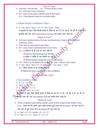| Times & Tense                                                                                                           |  |  |  |
|-------------------------------------------------------------------------------------------------------------------------|--|--|--|
| First time / Second time  etc. + Present Perfect Tense.<br>❖                                                            |  |  |  |
| Ex.:- First time I have come here.                                                                                      |  |  |  |
| $\div$ For / since can be used to mention time in this Tense.                                                           |  |  |  |
| Ex.:- I have played cricket for two hours today.                                                                        |  |  |  |
|                                                                                                                         |  |  |  |
| ▶ Present Perfect Continuous Tense –                                                                                    |  |  |  |
| $S + has / have + been + v4 + O + for / since + Time.$                                                                  |  |  |  |
| 2 दादाओं के तहत जिस हिन्दी वाक्य के क्रिया के अंत में 'ता रहा है, ती रही है, ते रहे हैं                                 |  |  |  |
| इत्यादि लगा रहे, उसे Present Perfect Continuous का वाक्य माना जाता है।                                                  |  |  |  |
| "Rules & Uses"                                                                                                          |  |  |  |
| A Present continued action for some mentioned time is kept in Present Perfect<br>❖<br>continuous Tense.                 |  |  |  |
| Time must be mentioned in this Tense.                                                                                   |  |  |  |
| $\div$ For / since come to mentioned time in this Tense.                                                                |  |  |  |
| Ex.:- (i) सोमवार से ही राजू का नाच जारी है।                                                                             |  |  |  |
| Raju has been dancing since Monday.                                                                                     |  |  |  |
| (ii) मोहन 6 महीने से यह नौकरी कर रहा है।                                                                                |  |  |  |
| • Mohan has been doing this work for six months.                                                                        |  |  |  |
| $\cdot \cdot \cdot$ V4 + Object can be replaced by using N $\mathbb{R}P$ / Adj. / Adverb in this Tense.                 |  |  |  |
| $\bullet$ S + has / have + been + N / P / Adj / Adv. + for / since + Time.                                              |  |  |  |
| Ex.:- मोहन बचपन से ही अच्छा डस्सिर हैं।                                                                                 |  |  |  |
| • Mohan has been a good dancer since childhood.                                                                         |  |  |  |
| <b>Penses</b> with Past Time"                                                                                           |  |  |  |
|                                                                                                                         |  |  |  |
| $\triangleright$ Past Indefinite Tense –                                                                                |  |  |  |
| $\bullet$ S + v2 + O                                                                                                    |  |  |  |
| $\bullet$ Did + S + $\mathbb{Q}$ + O +?                                                                                 |  |  |  |
| $S + d\hat{d}$ not + v1 + O<br>❤                                                                                        |  |  |  |
| $\mathbf{\hat{\cdot}} \bullet \mathbf{Did} \bullet \mathbf{\hat{\cdot}} \mathbf{\hat{\cdot}} + \text{not} + v1 + O + ?$ |  |  |  |
| ्रदादाओं के तहत जिस हिन्दी वाक्य के क्रिया के अंत में 'ता था / ती थी, ते थे, या, यी, ये'                                |  |  |  |
| इत्यादि लगा रहे, उसे Past Indefinite Tense का वाक्य माना जाता है।                                                       |  |  |  |
| "Rules & Uses"                                                                                                          |  |  |  |
| A Past completed action before another action of Past is kept in Past Perfect Tense.                                    |  |  |  |
| Note – ध्यान रहे कि इसके तहत पहले समाप्त हुई घटना को Past Perfect में रखा जाता है,                                      |  |  |  |
| तथा बाद में हुई घटना को Past Indefinite में रखा जाता है।                                                                |  |  |  |
| $S + had + v3 + O + before + S + v2 + O$<br>❖                                                                           |  |  |  |
| $S + had + v3 + O + when + S + v2 + O$<br>樂                                                                             |  |  |  |
|                                                                                                                         |  |  |  |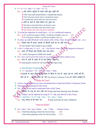Times & Tense  $\div$  S + v2 + O + after + S + had + v3 + O Ex.:- (i) मेरे स्टेशन पहुँचने से पहले गाड़ी खुल चुकी थी।  $\supset$  The Train had started before I reached the station.  $\bullet$  The Train had started when I reached the station. I reached the station after the train had started. (ii) रोगी के आने से पहले डॉक्टर मर चुका था। The Doctor had died before the Patient came. The Doctor had died when the Patient came. The Patient came after the Doctor had died.  $\cdot$  To avoid the repetition of would have + v3, in a conditional sentence. Ex.:- (i) If I would have gone to Delhi, I would have bought a new car.  $-(\ast)$  $\supset$  If I had gone to Delhi, I would have bought a new car. \* To show an unful-fill desire with certain verbs. (Wish, Think, Decide, Demand, Ask ...etc.)  $Ex.$ :- पिछले माह मैं इच्छा जताया था दिल्ली जाने का पर नहीं गया।  $\supset$  Last month I had wished to go to Delhi.  $\cdot \cdot$  I wish / I is high time / if / as if ... etc. + Past Perfect Tense. (To show Imaginative Remorse) Ex.:- काश! मैं पिछले माह दिल्ली चला गया होता।  $\supset$  I wish! I had gone to Delhi last month. For / since can be used in this Tense for an action that runs before another action. Ex.:- पापा के आने के पहले, मैं दो घंटा क्रिकेट खेला था। I had played cricket for two hours before Papa came.  $\triangleright$  Past Perfect Continuous<sup>1</sup>  $\div S$  + had been + V4 +  $\overrightarrow{Q}$  + for / since + Time. ⊃ दादाओं के तहत जिस हिल्दी वाक्य के क्रिया के अंत में 'आता रहा था, आती रही थी, आते रहे थे ... इंच्यादि लगा रहे, उसे Past Perfect Continuous Tense का वाक्य समझते है। "Rules & Uses" A Part continued action for some mentioned time is kept Past Perfect Continuous Tense.  $\div$  Time must be mentioned in this Tense.  $\div$  For / since can be used to mentioned time in this Tense. Ex.:- सोमवार से राजू का नाच जारी था।  $\bullet$  Raju had been dancing since Monday.  $\cdot \cdot \cdot$  W4 + Subject can be replaced by using N / P / Adj. and Adverb in this Tense.  $\sum S$  + had been + N / P / Adj. / Adv. + for / since + Time. Ex.:- राजू बचपन से ही मोटा था।  $\bullet$  Raju had been fat since childhood. "Special Rules"  $\div$  For / since + last / past / before ... etc. + Time ... = Present Tense. Ex.:- I had been playing cricket for last ten days.  $-$  ( $\star$ ) I have been playing cricket for last ten days.  $-(\checkmark)$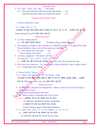Times & Tense

 $\div$  For / since + Time + last / past ... = Past Tense

Ex.:- I have been playing cricket for ten days last month.  $-(\star)$ 

I had been playing cricket for ten days last month.  $-(\checkmark)$ 

"Tenses with Future Time"

 $\triangleright$  Future Indefinite Tense –

 $\div S$  + shall / will + v1 + O

⊃ दादाओं के तहत जिस हिन्दी वाक्य के क्रिया के अंत में 'गा, गे, गी ... इत्यादि लगा रहे, उसे

Future Indefinite Tense का वाक्य माना जाता है।

"Rules & Uses"

 $\triangleleft$  To show a simple futurity.

Ex.:- कल मोहन दिल्ली जाएगा।  $\bullet$  Mohan will go to Delhi tomorrow.

 $\cdot \cdot$  The repetition of shall or will is avoided in a conditional sentence, it is replaced by using Present Indefinite Tense with the Part that shows condition.

Ex.:- You will go if he will come.  $-(\star)$ 

 $\triangleright$  You will go if he comes.  $-$  ( $\checkmark$ )

 $\triangleleft$  To show a suggestion + Precaution with else.  $\bigcirc$  Suggestion + else + Subject + shall / will + v1 + O

Ex.:- जल्दी चल नहीं तो ट्रेन छूट जाएगी।  $\rightarrow$  Run fast, else you will miss the train.

• Now, next time, tomorrow …etc. can be used in Future Indefinite Tense to make futurity. Ex.:- I will go there next month.

Future Perfect Tense –

 $\div S$  + shall / will + have  $\div \sqrt{3}$  +  $\circ$  + by / before + Time

⊃ दादाओं के तहत जिस हिन्दी वाक्य के क्रिया के अंत में 'चूकेगा, चूकेगी, चूकेंगे ... इत्यादि

लगा रहे, उसे Future Perfect Tense का वाक्य माना जाता है।

"Rules & Uses"

 $\cdot$  An action that is hoped to be completed by / before a certain time in future is kept in Future Perfect Tense.

Time must be mentioned in this Tense.

By / before comes to mentioned time in this Tense.

Ex.:- (i) सोमवार तक मैं यह प्रोजेक्ट पूरा कर दूँगा।

 $\supset$  I shall have finished this Project by Monday.

(ii) सोमवार से पहले राजू दिल्ली चला जाएगा।

 $\supset$  Raju will have gone to Delhi before Monday.

- $\div$  S + shall / will + have + v3 + O + by / before + S + v1 / v5 + O
	- Ex.:- आपके आने तक मैं यह प्रोजेक्ट पूरा कर लूँगा।
		- $\supset$  I shall have finished this Project by you come.